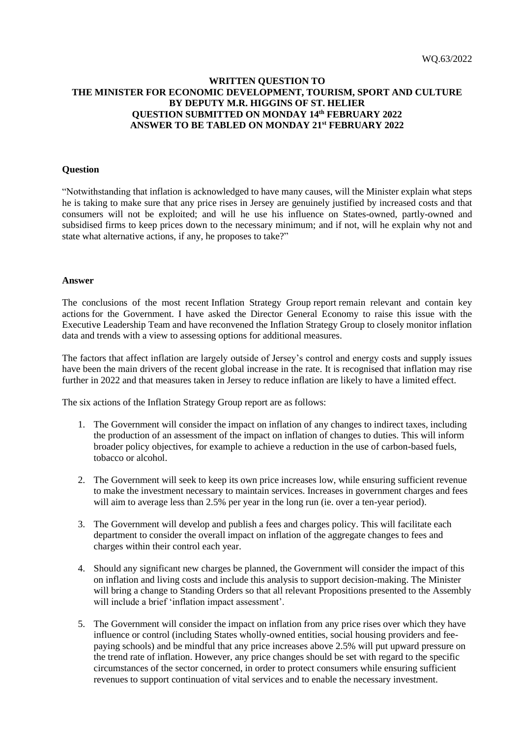## **WRITTEN QUESTION TO THE MINISTER FOR ECONOMIC DEVELOPMENT, TOURISM, SPORT AND CULTURE BY DEPUTY M.R. HIGGINS OF ST. HELIER QUESTION SUBMITTED ON MONDAY 14th FEBRUARY 2022 ANSWER TO BE TABLED ON MONDAY 21st FEBRUARY 2022**

## **Question**

"Notwithstanding that inflation is acknowledged to have many causes, will the Minister explain what steps he is taking to make sure that any price rises in Jersey are genuinely justified by increased costs and that consumers will not be exploited; and will he use his influence on States-owned, partly-owned and subsidised firms to keep prices down to the necessary minimum; and if not, will he explain why not and state what alternative actions, if any, he proposes to take?"

## **Answer**

The conclusions of the most recent Inflation Strategy Group report remain relevant and contain key actions for the Government. I have asked the Director General Economy to raise this issue with the Executive Leadership Team and have reconvened the Inflation Strategy Group to closely monitor inflation data and trends with a view to assessing options for additional measures.

The factors that affect inflation are largely outside of Jersey's control and energy costs and supply issues have been the main drivers of the recent global increase in the rate. It is recognised that inflation may rise further in 2022 and that measures taken in Jersey to reduce inflation are likely to have a limited effect.

The six actions of the Inflation Strategy Group report are as follows:

- 1. The Government will consider the impact on inflation of any changes to indirect taxes, including the production of an assessment of the impact on inflation of changes to duties. This will inform broader policy objectives, for example to achieve a reduction in the use of carbon-based fuels, tobacco or alcohol.
- 2. The Government will seek to keep its own price increases low, while ensuring sufficient revenue to make the investment necessary to maintain services. Increases in government charges and fees will aim to average less than 2.5% per year in the long run (ie. over a ten-year period).
- 3. The Government will develop and publish a fees and charges policy. This will facilitate each department to consider the overall impact on inflation of the aggregate changes to fees and charges within their control each year.
- 4. Should any significant new charges be planned, the Government will consider the impact of this on inflation and living costs and include this analysis to support decision-making. The Minister will bring a change to Standing Orders so that all relevant Propositions presented to the Assembly will include a brief 'inflation impact assessment'.
- 5. The Government will consider the impact on inflation from any price rises over which they have influence or control (including States wholly-owned entities, social housing providers and feepaying schools) and be mindful that any price increases above 2.5% will put upward pressure on the trend rate of inflation. However, any price changes should be set with regard to the specific circumstances of the sector concerned, in order to protect consumers while ensuring sufficient revenues to support continuation of vital services and to enable the necessary investment.